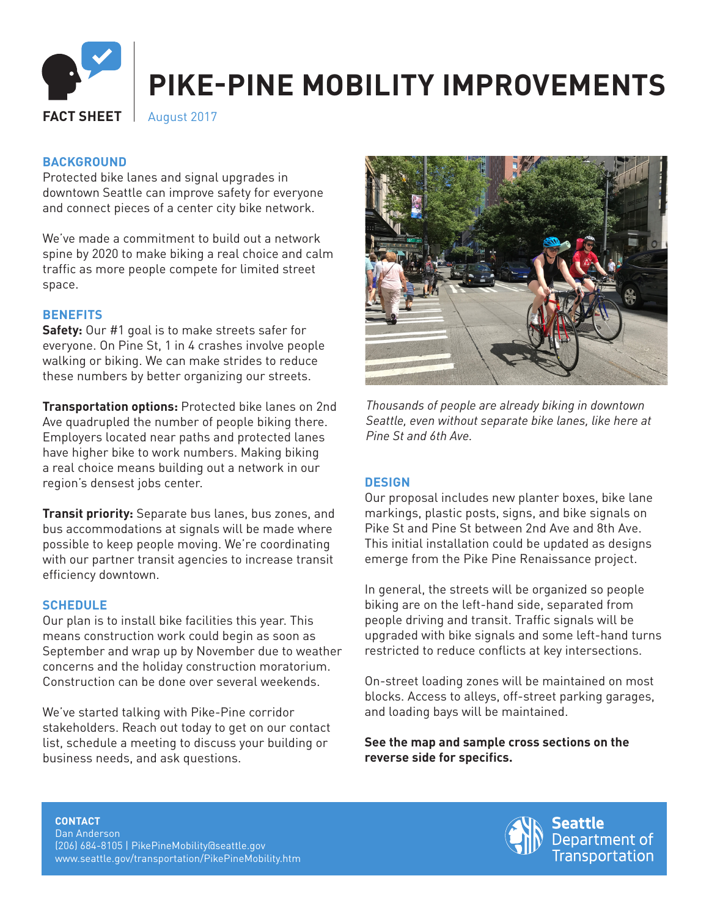

## **BACKGROUND**

Protected bike lanes and signal upgrades in downtown Seattle can improve safety for everyone and connect pieces of a center city bike network.

We've made a commitment to build out a network spine by 2020 to make biking a real choice and calm traffic as more people compete for limited street space.

### **BENEFITS**

**Safety:** Our #1 goal is to make streets safer for everyone. On Pine St, 1 in 4 crashes involve people walking or biking. We can make strides to reduce these numbers by better organizing our streets.

**Transportation options:** Protected bike lanes on 2nd Ave quadrupled the number of people biking there. Employers located near paths and protected lanes have higher bike to work numbers. Making biking a real choice means building out a network in our region's densest jobs center.

**Transit priority:** Separate bus lanes, bus zones, and bus accommodations at signals will be made where possible to keep people moving. We're coordinating with our partner transit agencies to increase transit efficiency downtown.

### **SCHEDULE**

Our plan is to install bike facilities this year. This means construction work could begin as soon as September and wrap up by November due to weather concerns and the holiday construction moratorium. Construction can be done over several weekends.

We've started talking with Pike-Pine corridor stakeholders. Reach out today to get on our contact list, schedule a meeting to discuss your building or business needs, and ask questions.



*Thousands of people are already biking in downtown Seattle, even without separate bike lanes, like here at Pine St and 6th Ave.*

#### **DESIGN**

Our proposal includes new planter boxes, bike lane markings, plastic posts, signs, and bike signals on Pike St and Pine St between 2nd Ave and 8th Ave. This initial installation could be updated as designs emerge from the Pike Pine Renaissance project.

In general, the streets will be organized so people biking are on the left-hand side, separated from people driving and transit. Traffic signals will be upgraded with bike signals and some left-hand turns restricted to reduce conflicts at key intersections.

On-street loading zones will be maintained on most blocks. Access to alleys, off-street parking garages, and loading bays will be maintained.

**See the map and sample cross sections on the reverse side for specifics.**

**CONTACT** Dan Anderson (206) 684-8105 | PikePineMobility@seattle.gov www.seattle.gov/transportation/PikePineMobility.htm